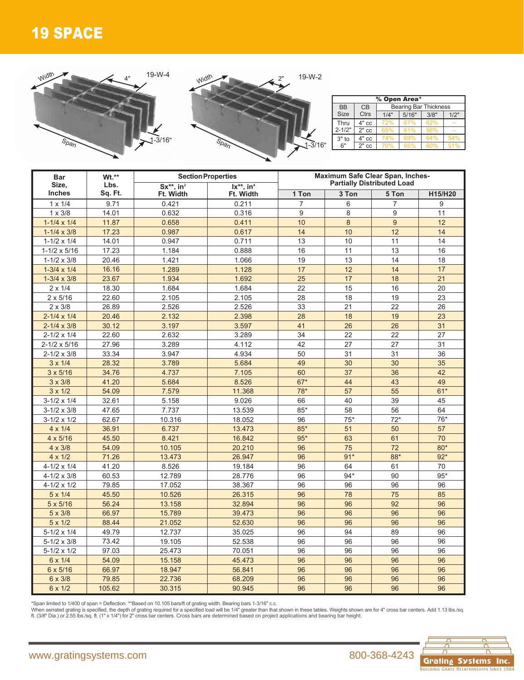## 19 SPACE



| % Open Area* |                                    |      |       |      |      |  |  |  |  |  |  |  |
|--------------|------------------------------------|------|-------|------|------|--|--|--|--|--|--|--|
| <b>BB</b>    | <b>Bearing Bar Thickness</b><br>CB |      |       |      |      |  |  |  |  |  |  |  |
| <b>Size</b>  | <b>Ctrs</b>                        | 1/4" | 5/16" | 3/8" | 1/2" |  |  |  |  |  |  |  |
| Thru         | $4"$ cc                            | 72%  | 67%   | 62%  |      |  |  |  |  |  |  |  |
| $2 - 1/2"$   | $2"$ cc                            | 65%  | 61%   | 56%  |      |  |  |  |  |  |  |  |
| $3"$ to      | 4" cc                              | 74%  | 69%   | 64%  | 54%  |  |  |  |  |  |  |  |
| 6"           | $2"$ cc                            | 70%  | 65%   | 60%  | 51%  |  |  |  |  |  |  |  |

| <b>Bar</b>            | Wt.**   | <b>Section Properties</b>   |                                                       | Maximum Safe Clear Span, Inches- |                                   |                |         |  |  |  |  |
|-----------------------|---------|-----------------------------|-------------------------------------------------------|----------------------------------|-----------------------------------|----------------|---------|--|--|--|--|
| Size,                 | Lbs.    | $Sx^{**}$ , in <sup>3</sup> | $\overline{\mathsf{Ix}^{\ast\ast}}$ , in <sup>4</sup> |                                  | <b>Partially Distributed Load</b> |                |         |  |  |  |  |
| <b>Inches</b>         | Sq. Ft. | Ft. Width                   | Ft. Width                                             | 1 Ton                            | 3 Ton                             | 5 Ton          | H15/H20 |  |  |  |  |
| $1 \times 1/4$        | 9.71    | 0.421                       | 0.211                                                 | 7                                | 6                                 | $\overline{7}$ | 9       |  |  |  |  |
| $1 \times 3/8$        | 14.01   | 0.632                       | 0.316                                                 | 9                                | 8                                 | 9              | 11      |  |  |  |  |
| $1-1/4 \times 1/4$    | 11.87   | 0.658                       | 0.411                                                 | 10                               | 8                                 | 9              | 12      |  |  |  |  |
| $1 - 1/4 \times 3/8$  | 17.23   | 0.987                       | 0.617                                                 | 14                               | 10                                | 12             | 14      |  |  |  |  |
| $1 - 1/2 \times 1/4$  | 14.01   | 0.947                       | 0.711                                                 | 13                               | 10                                | 11             | 14      |  |  |  |  |
| $1-1/2 \times 5/16$   | 17.23   | 1.184                       | 0.888                                                 | 16                               | 11                                | 13             | 16      |  |  |  |  |
| $1 - 1/2 \times 3/8$  | 20.46   | 1.421                       | 1.066                                                 | 19                               | 13                                | 14             | 18      |  |  |  |  |
| $1-3/4 \times 1/4$    | 16.16   | 1.289                       | 1.128                                                 | 17                               | 12                                | 14             | 17      |  |  |  |  |
| $1 - 3/4 \times 3/8$  | 23.67   | 1.934                       | 1.692                                                 | 25                               | 17                                | 18             | 21      |  |  |  |  |
| $2 \times 1/4$        | 18.30   | 1.684                       | 1.684                                                 | 22                               | 15                                | 16             | 20      |  |  |  |  |
| $2 \times 5/16$       | 22.60   | 2.105                       | 2.105                                                 | 28                               | 18                                | 19             | 23      |  |  |  |  |
| $2 \times 3/8$        | 26.89   | 2.526                       | 2.526                                                 | 33                               | 21                                | 22             | 26      |  |  |  |  |
| $2 - 1/4 \times 1/4$  | 20.46   | 2.132                       | 2.398                                                 | 28                               | 18                                | 19             | 23      |  |  |  |  |
| $2 - 1/4 \times 3/8$  | 30.12   | 3.197                       | 3.597                                                 | 41                               | 26                                | 26             | 31      |  |  |  |  |
| $2 - 1/2 \times 1/4$  | 22.60   | 2.632                       | 3.289                                                 | 34                               | 22                                | 22             | 27      |  |  |  |  |
| $2 - 1/2 \times 5/16$ | 27.96   | 3.289                       | 4.112                                                 | 42                               | 27                                | 27             | 31      |  |  |  |  |
| $2 - 1/2 \times 3/8$  | 33.34   | 3.947                       | 4.934                                                 | 50                               | 31                                | 31             | 36      |  |  |  |  |
| $3 \times 1/4$        | 28.32   | 3.789                       | 5.684                                                 | 49                               | 30                                | 30             | 35      |  |  |  |  |
| $3 \times 5/16$       | 34.76   | 4.737                       | 7.105                                                 | 60                               | 37                                | 36             | 42      |  |  |  |  |
| $3 \times 3/8$        | 41.20   | 5.684                       | 8.526                                                 | $67*$                            | 44                                | 43             | 49      |  |  |  |  |
| $3 \times 1/2$        | 54.09   | 7.579                       | 11.368                                                | $78*$                            | 57                                | 55             | $61*$   |  |  |  |  |
| $3-1/2 \times 1/4$    | 32.61   | 5.158                       | 9.026                                                 | 66                               | 40                                | 39             | 45      |  |  |  |  |
| $3 - 1/2 \times 3/8$  | 47.65   | 7.737                       | 13.539                                                | $85*$                            | 58                                | 56             | 64      |  |  |  |  |
| $3 - 1/2 \times 1/2$  | 62.67   | 10.316                      | 18.052                                                | 96                               | $75*$                             | $72*$          | 76*     |  |  |  |  |
| $4 \times 1/4$        | 36.91   | 6.737                       | 13.473                                                | $85*$                            | 51                                | 50             | 57      |  |  |  |  |
| $4 \times 5/16$       | 45.50   | 8.421                       | 16.842                                                | $95*$                            | 63                                | 61             | 70      |  |  |  |  |
| $4 \times 3/8$        | 54.09   | 10.105                      | 20.210                                                | 96                               | 75                                | 72             | $80*$   |  |  |  |  |
| $4 \times 1/2$        | 71.26   | 13.473                      | 26.947                                                | 96                               | $91*$                             | 88*            | $92*$   |  |  |  |  |
| $4-1/2 \times 1/4$    | 41.20   | 8.526                       | 19.184                                                | 96                               | 64                                | 61             | 70      |  |  |  |  |
| $4 - 1/2 \times 3/8$  | 60.53   | 12.789                      | 28.776                                                | 96                               | $94*$                             | 90             | $95*$   |  |  |  |  |
| $4 - 1/2 \times 1/2$  | 79.85   | 17.052                      | 38.367                                                | 96                               | 96                                | 96             | 96      |  |  |  |  |
| $5 \times 1/4$        | 45.50   | 10.526                      | 26.315                                                | 96                               | 78                                | 75             | 85      |  |  |  |  |
| $5 \times 5/16$       | 56.24   | 13.158                      | 32.894                                                | 96                               | 96                                | 92             | 96      |  |  |  |  |
| 5 x 3/8               | 66.97   | 15.789                      | 39.473                                                | 96                               | 96                                | 96             | 96      |  |  |  |  |
| $5 \times 1/2$        | 88.44   | 21.052                      | 52.630                                                | 96                               | 96                                | 96             | 96      |  |  |  |  |
| $5-1/2 \times 1/4$    | 49.79   | 12.737                      | 35.025                                                | 96                               | 94                                | 89             | 96      |  |  |  |  |
| $5 - 1/2 \times 3/8$  | 73.42   | 19.105                      | 52.538                                                | 96                               | 96                                | 96             | 96      |  |  |  |  |
| $5-1/2 \times 1/2$    | 97.03   | 25.473                      | 70.051                                                | 96                               | 96                                | 96             | 96      |  |  |  |  |
| 6 x 1/4               | 54.09   | 15.158                      | 45.473                                                | 96                               | 96                                | 96             | 96      |  |  |  |  |
| $6 \times 5/16$       | 66.97   | 18.947                      | 56.841                                                | 96                               | 96                                | 96             | 96      |  |  |  |  |
| 6 x 3/8               | 79.85   | 22.736                      | 68.209                                                | 96                               | 96                                | 96             | 96      |  |  |  |  |
| 6 x 1/2               | 105.62  | 30.315                      | 90.945                                                | 96                               | 96                                | 96             | 96      |  |  |  |  |

\*Span limited to 1/400 of span = Deflection. \*\*Based on 10.105 bars/ft of grating width. Bearing bars 1-3/16" c.c.<br>When serrated grating is specified, the depth of grating required for a specified load will be 1/4" grater